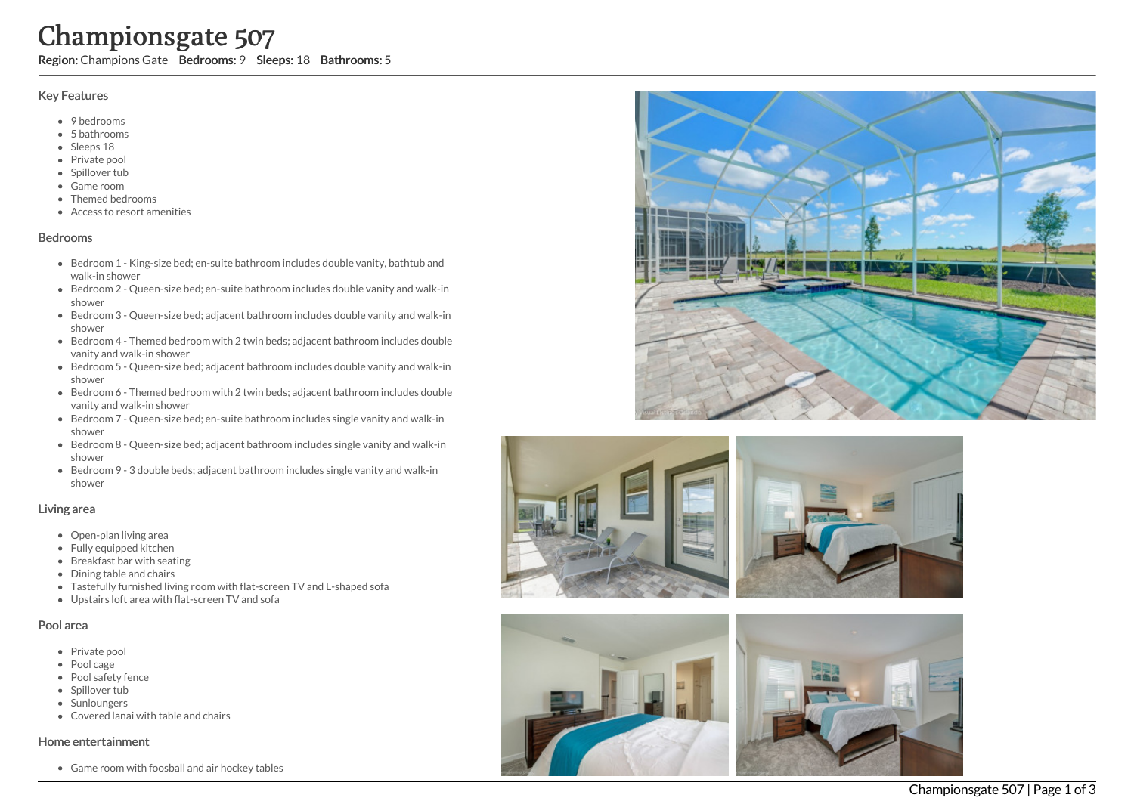# Championsgate 507

Region: Champions Gate Bedrooms: 9 Sleeps: 18 Bathrooms: 5

# Key Features

- 9 bedrooms
- 5 b a t h r o o m s
- Sleeps 18
- Private pool
- Spillover tub
- Game room
- Themed bedr o o m s
- Access to resort amenities

# **Bedrooms**

- Bedroom 1 King-size bed; en-suite bathroom includes double vanity, bathtub and walk-in shower
- Bedroom 2 Queen-size bed; en-suite bathroom includes double vanity and walk-in s h o w e r
- Bedroom 3 Queen-size bed; adjacent bathroom includes double vanity and walk-in s h o w e r
- Bedroom 4 Themed bedroom with 2 twin beds; adjacent bathroom includes double vanity and walk-in shower
- Bedroom 5 Queen-size bed; adjacent bathroom includes double vanity and walk-in s h o w e r
- Bedroom 6 Themed bedroom with 2 twin beds; adjacent bathroom includes double vanity and walk-in shower
- Bedroom 7 Queen-size bed; en-suite bathroom includes single vanity and walk-in s h o w e r
- Bedroom 8 Queen-size bed; adjacent bathroom includes single vanity and walk-in s h o w e r
- Bedroom 9 3 double beds; adjacent bathroom includes single vanity and walk-in s h o w e r

# Living area

- Open-plan living area
- Fully equipped kitchen
- Breakfast bar with seating
- Dining table and chairs
- Tastefully furnished living room with flat-screen TV and L-shaped sofa
- Upstairs loft area with flat-screen TV and sofa

# Pool area

- Private pool
- Pool cage
- Pool safety fence
- Spillover tub
- **Sunloungers**
- Covered lanai with table and chairs

# Home entertainment

Game room with foosball and air hockey tables





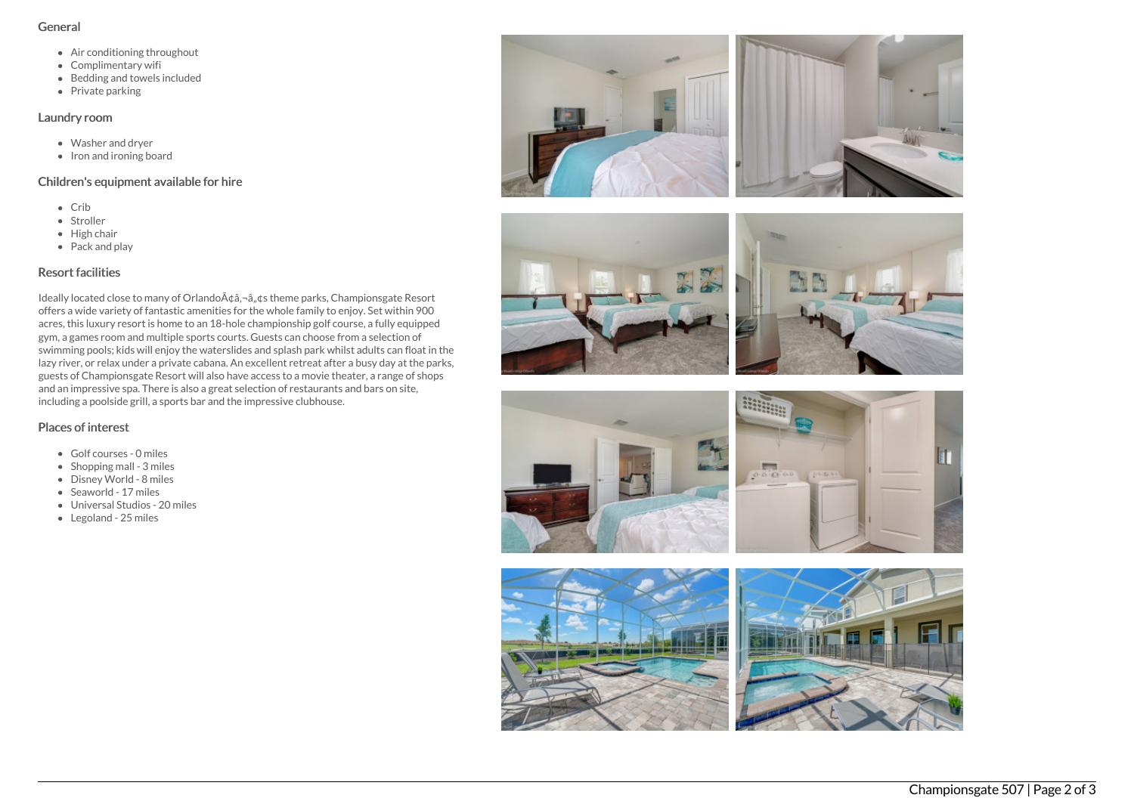#### General

- Air conditioning throughout
- Complimentary wifi
- Bedding and towels included
- $\bullet$  Private parking

# Laundry room

- Washer and dryer
- $\bullet$  Iron and ironing board

# Children's equipment available for hire

- Crib
- Stroller
- $\bullet$  High chair
- Pack and play

# Resort facilities

Ideally located close to many of Orlando A¢â,¬â,,¢s theme parks, Championsgate Resort offers a wide variety of fantastic amenities for the whole family to enjoy. Set within 900 acres, this luxury resort is home to an 18-hole championship golf course, a fully equipped gym, a games room and multiple sports courts. Guests can choose from a selection of swimming pools; kids will enjoy the waterslides and splash park whilst adults can float in the lazy river, or relax under a private cabana. An excellent retreat after a busy day at the parks, guests of Championsgate Resort will also have access to a movie theater, a range of shops and an impressive spa. There is also a great selection of restaurants and bars on site, including a poolside grill, a sports bar and the impressive clubhouse.

# Places of interest

- Golf courses 0 miles
- $\bullet$  Shopping mall 3 miles
- Disney World 8 miles
- Seaworld 17 miles
- Universal Studios 20 miles
- Legoland 25 miles